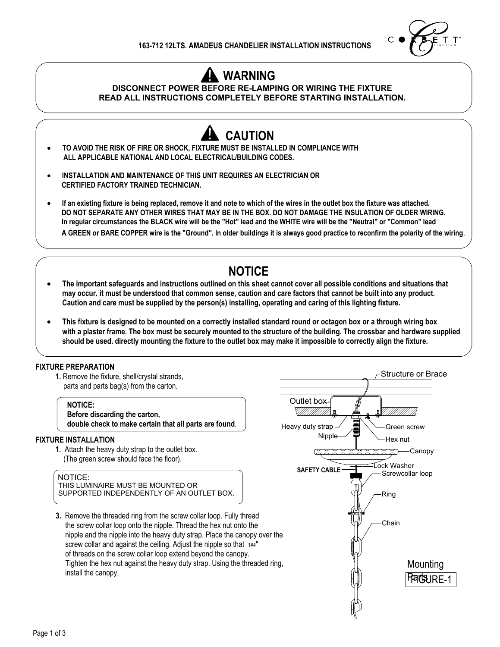

# **WARNING**

### **DISCONNECT POWER BEFORE RE-LAMPING OR WIRING THE FIXTURE READ ALL INSTRUCTIONS COMPLETELY BEFORE STARTING INSTALLATION.**



 **A GREEN or BARE COPPER wire is the "Ground". In older buildings it is always good practice to reconfirm the polarity of the wiring**.

## **NOTICE**

- **· The important safeguards and instructions outlined on this sheet cannot cover all possible conditions and situations that may occur. it must be understood that common sense, caution and care factors that cannot be built into any product. Caution and care must be supplied by the person(s) installing, operating and caring of this lighting fixture.**
- **· This fixture is designed to be mounted on a correctly installed standard round or octagon box or a through wiring box with a plaster frame. The box must be securely mounted to the structure of the building. The crossbar and hardware supplied should be used. directly mounting the fixture to the outlet box may make it impossible to correctly align the fixture.**

### **FIXTURE PREPARATION**

**1.** Remove the fixture, shell/crystal strands, parts and parts bag(s) from the carton.

 **NOTICE: Before discarding the carton, double check to make certain that all parts are found**.

#### **FIXTURE INSTALLATION**

**1.** Attach the heavy duty strap to the outlet box. (The green screw should face the floor).

#### NOTICE:

THIS LUMINAIRE MUST BE MOUNTED OR SUPPORTED INDEPENDENTLY OF AN OUTLET BOX.

**3.** Remove the threaded ring from the screw collar loop. Fully thread the screw collar loop onto the nipple. Thread the hex nut onto the nipple and the nipple into the heavy duty strap. Place the canopy over the screw collar and against the ceiling. Adjust the nipple so that  $1#4"$  of threads on the screw collar loop extend beyond the canopy. Tighten the hex nut against the heavy duty strap. Using the threaded ring, install the canopy.

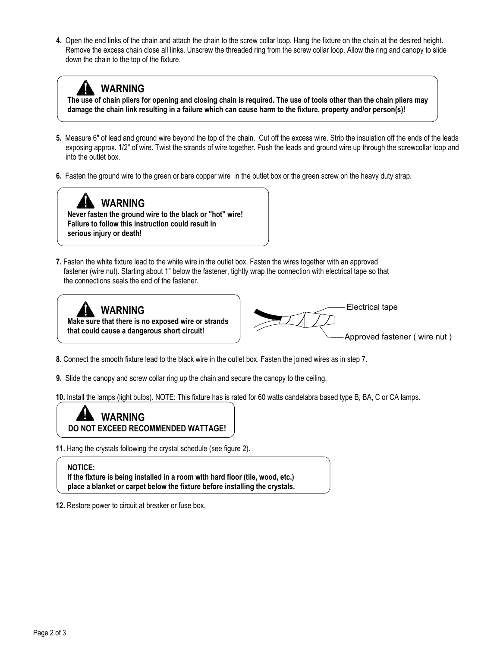**4.** Open the end links of the chain and attach the chain to the screw collar loop. Hang the fixture on the chain at the desired height. Remove the excess chain close all links. Unscrew the threaded ring from the screw collar loop. Allow the ring and canopy to slide down the chain to the top of the fixture.

# **WARNING**

 **The use of chain pliers for opening and closing chain is required. The use of tools other than the chain pliers may damage the chain link resulting in a failure which can cause harm to the fixture, property and/or person(s)!**

- **5.** Measure 6" of lead and ground wire beyond the top of the chain. Cut off the excess wire. Strip the insulation off the ends of the leads exposing approx. 1/2" of wire. Twist the strands of wire together. Push the leads and ground wire up through the screwcollar loop and into the outlet box.
- **6.** Fasten the ground wire to the green or bare copper wire in the outlet box or the green screw on the heavy duty strap**.**



 **Never fasten the ground wire to the black or "hot" wire! Failure to follow this instruction could result in serious injury or death!**

**7.** Fasten the white fixture lead to the white wire in the outlet box. Fasten the wires together with an approved fastener (wire nut). Starting about 1" below the fastener, tightly wrap the connection with electrical tape so that the connections seals the end of the fastener.





**8.** Connect the smooth fixture lead to the black wire in the outlet box. Fasten the joined wires as in step 7.

**9.** Slide the canopy and screw collar ring up the chain and secure the canopy to the ceiling.

**10.** Install the lamps (light bulbs). NOTE: This fixture has is rated for 60 watts candelabra based type B, BA, C or CA lamps.



**11.** Hang the crystals following the crystal schedule (see figure 2).

#### **NOTICE:**

.

 **If the fixture is being installed in a room with hard floor (tile, wood, etc.) place a blanket or carpet below the fixture before installing the crystals.**

**12.** Restore power to circuit at breaker or fuse box.